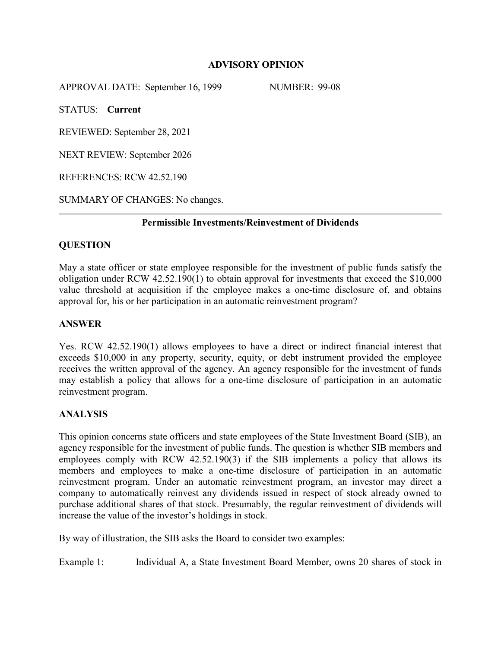## **ADVISORY OPINION**

APPROVAL DATE: September 16, 1999 NUMBER: 99-08

STATUS: **Current**

REVIEWED: September 28, 2021

NEXT REVIEW: September 2026

REFERENCES: RCW 42.52.190

SUMMARY OF CHANGES: No changes.

## **Permissible Investments/Reinvestment of Dividends**

# **QUESTION**

May a state officer or state employee responsible for the investment of public funds satisfy the obligation under RCW 42.52.190(1) to obtain approval for investments that exceed the \$10,000 value threshold at acquisition if the employee makes a one-time disclosure of, and obtains approval for, his or her participation in an automatic reinvestment program?

## **ANSWER**

Yes. RCW 42.52.190(1) allows employees to have a direct or indirect financial interest that exceeds \$10,000 in any property, security, equity, or debt instrument provided the employee receives the written approval of the agency. An agency responsible for the investment of funds may establish a policy that allows for a one-time disclosure of participation in an automatic reinvestment program.

#### **ANALYSIS**

This opinion concerns state officers and state employees of the State Investment Board (SIB), an agency responsible for the investment of public funds. The question is whether SIB members and employees comply with RCW 42.52.190(3) if the SIB implements a policy that allows its members and employees to make a one-time disclosure of participation in an automatic reinvestment program. Under an automatic reinvestment program, an investor may direct a company to automatically reinvest any dividends issued in respect of stock already owned to purchase additional shares of that stock. Presumably, the regular reinvestment of dividends will increase the value of the investor's holdings in stock.

By way of illustration, the SIB asks the Board to consider two examples:

Example 1: Individual A, a State Investment Board Member, owns 20 shares of stock in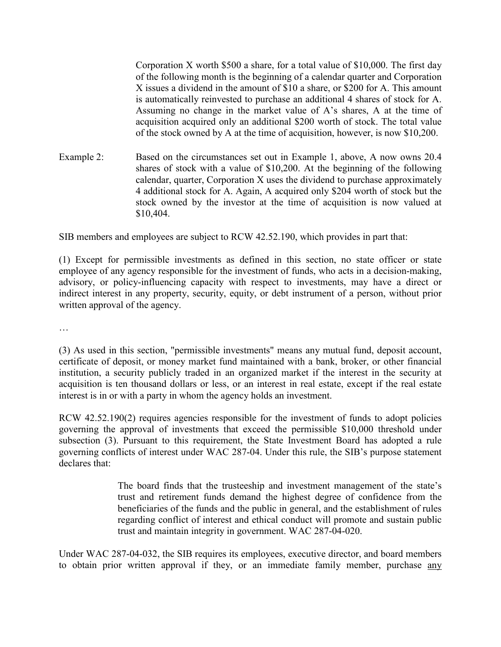Corporation X worth \$500 a share, for a total value of \$10,000. The first day of the following month is the beginning of a calendar quarter and Corporation X issues a dividend in the amount of \$10 a share, or \$200 for A. This amount is automatically reinvested to purchase an additional 4 shares of stock for A. Assuming no change in the market value of A's shares, A at the time of acquisition acquired only an additional \$200 worth of stock. The total value of the stock owned by A at the time of acquisition, however, is now \$10,200.

Example 2: Based on the circumstances set out in Example 1, above, A now owns 20.4 shares of stock with a value of \$10,200. At the beginning of the following calendar, quarter, Corporation X uses the dividend to purchase approximately 4 additional stock for A. Again, A acquired only \$204 worth of stock but the stock owned by the investor at the time of acquisition is now valued at \$10,404.

SIB members and employees are subject to RCW 42.52.190, which provides in part that:

(1) Except for permissible investments as defined in this section, no state officer or state employee of any agency responsible for the investment of funds, who acts in a decision-making, advisory, or policy-influencing capacity with respect to investments, may have a direct or indirect interest in any property, security, equity, or debt instrument of a person, without prior written approval of the agency.

…

(3) As used in this section, "permissible investments" means any mutual fund, deposit account, certificate of deposit, or money market fund maintained with a bank, broker, or other financial institution, a security publicly traded in an organized market if the interest in the security at acquisition is ten thousand dollars or less, or an interest in real estate, except if the real estate interest is in or with a party in whom the agency holds an investment.

RCW 42.52.190(2) requires agencies responsible for the investment of funds to adopt policies governing the approval of investments that exceed the permissible \$10,000 threshold under subsection (3). Pursuant to this requirement, the State Investment Board has adopted a rule governing conflicts of interest under WAC 287-04. Under this rule, the SIB's purpose statement declares that:

> The board finds that the trusteeship and investment management of the state's trust and retirement funds demand the highest degree of confidence from the beneficiaries of the funds and the public in general, and the establishment of rules regarding conflict of interest and ethical conduct will promote and sustain public trust and maintain integrity in government. WAC 287-04-020.

Under WAC 287-04-032, the SIB requires its employees, executive director, and board members to obtain prior written approval if they, or an immediate family member, purchase any